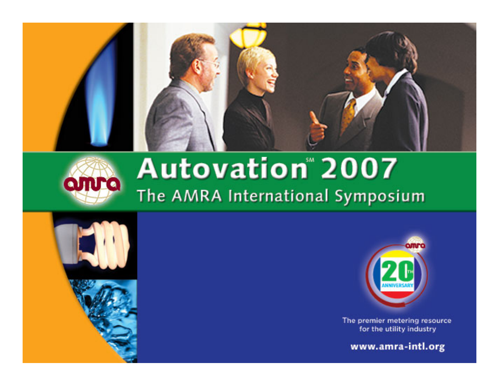



# Autovation 2007 The AMRA International Symposium





The premier metering resource for the utility industry

www.amra-intl.org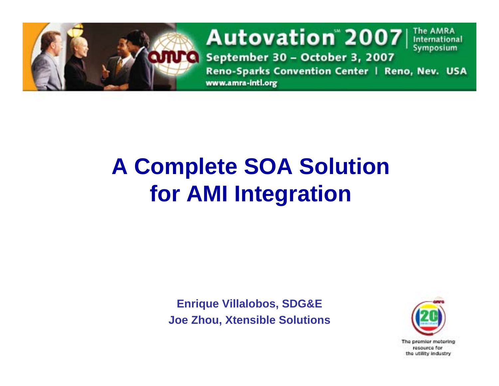

# **A Complete SOA Solution for AMI Integration**

**Enrique Villalobos, SDG&E Joe Zhou, Xtensible Solutions**



The AMRA

International Symposium

resource for the utility industry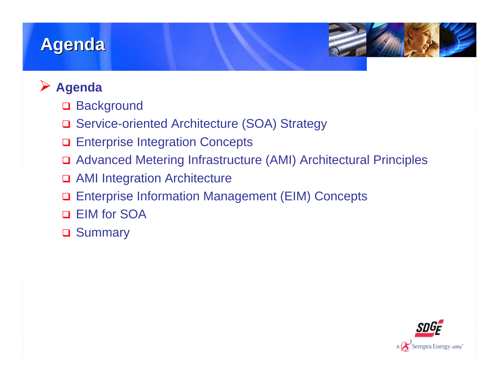### **Agenda**



### ¾ **Agenda**

- $\Box$ **Background**
- □ Service-oriented Architecture (SOA) Strategy
- $\Box$ Enterprise Integration Concepts
- Advanced Metering Infrastructure (AMI) Architectural Principles
- □ AMI Integration Architecture
- $\Box$ Enterprise Information Management (EIM) Concepts
- $\Box$ EIM for SOA
- **□ Summary**

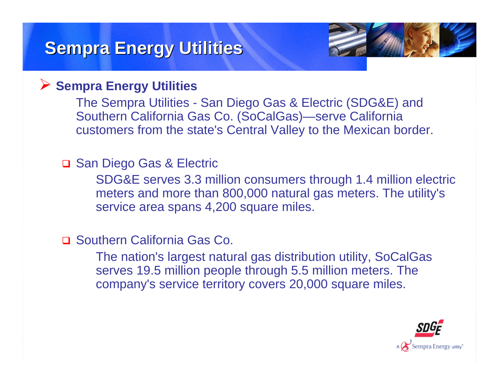### **Sempra Energy Utilities Sempra Energy Utilities**



### ¾ **Sempra Energy Utilities**

The Sempra Utilities - San Diego Gas & Electric (SDG&E) and Southern California Gas Co. (SoCalGas)—serve California customers from the state's Central Valley to the Mexican border.

### **□ San Diego Gas & Electric**

SDG&E serves 3.3 million consumers through 1.4 million electric meters and more than 800,000 natural gas meters. The utility's service area spans 4,200 square miles.

### □ Southern California Gas Co.

The nation's largest natural gas distribution utility, SoCalGas serves 19.5 million people through 5.5 million meters. The company's service territory covers 20,000 square miles.

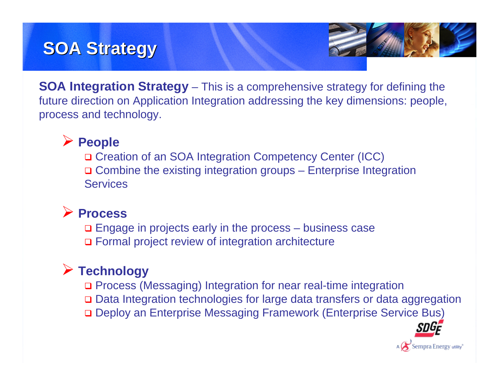## **SOA Strategy SOA Strategy**



**SOA Integration Strategy** – This is a comprehensive strategy for defining the future direction on Application Integration addressing the key dimensions: people, process and technology.

### ¾ **People**

□ Creation of an SOA Integration Competency Center (ICC) **□ Combine the existing integration groups – Enterprise Integration Services** 

### ¾ **Process**

**□** Engage in projects early in the process – business case □ Formal project review of integration architecture

### ¾ **Technology**

- □ Process (Messaging) Integration for near real-time integration
- □ Data Integration technologies for large data transfers or data aggregation
- **□ Deploy an Enterprise Messaging Framework (Enterprise Service Bus)**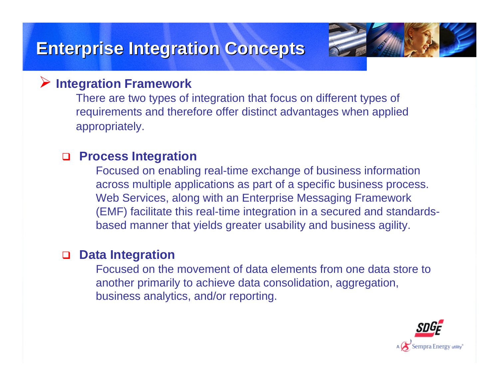### **Enterprise Integration Concepts Enterprise Integration Concepts**



#### ¾**Integration Framework**

There are two types of integration that focus on different types of requirements and therefore offer distinct advantages when applied appropriately.

#### □ **Process Integration**

Focused on enabling real-time exchange of business information across multiple applications as part of a specific business process. Web Services, along with an Enterprise Messaging Framework (EMF) facilitate this real-time integration in a secured and standardsbased manner that yields greater usability and business agility.

#### □ **Data Integration**

Focused on the movement of data elements from one data store to another primarily to achieve data consolidation, aggregation, business analytics, and/or reporting.

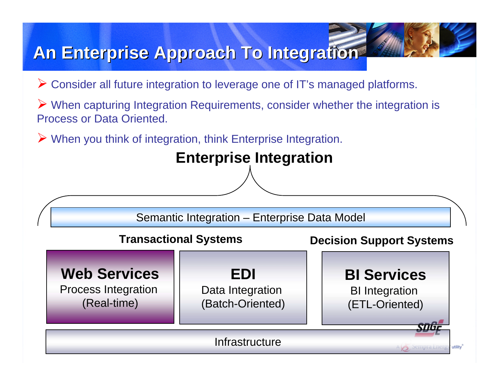### **An Enterprise Approach To Integration An Enterprise Approach To Integration**

- ¾ Consider all future integration to leverage one of IT's managed platforms.
- ¾ When capturing Integration Requirements, consider whether the integration is Process or Data Oriented.
- ¾ When you think of integration, think Enterprise Integration.

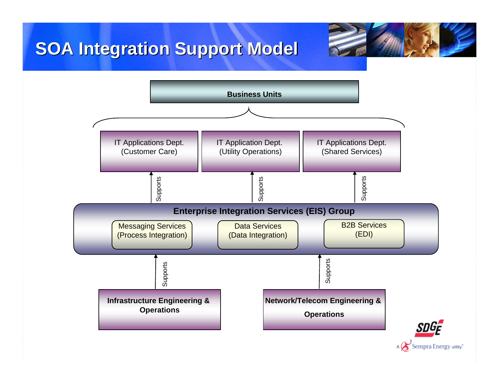## **SOA Integration Support Model SOA Integration Support Model**



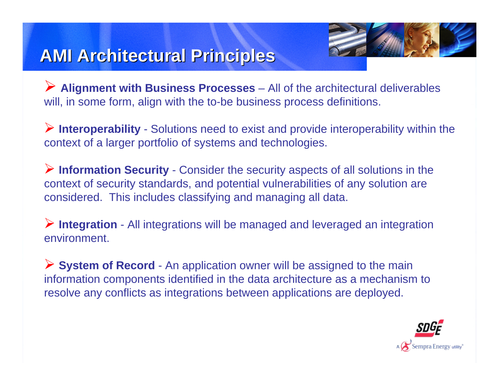

## **AMI Architectural Principles AMI Architectural Principles**

¾ **Alignment with Business Processes** – All of the architectural deliverables will, in some form, align with the to-be business process definitions.

¾ **Interoperability** - Solutions need to exist and provide interoperability within the context of a larger portfolio of systems and technologies.

¾ **Information Security** - Consider the security aspects of all solutions in the context of security standards, and potential vulnerabilities of any solution are considered. This includes classifying and managing all data.

¾ **Integration** - All integrations will be managed and leveraged an integration environment.

¾ **System of Record** - An application owner will be assigned to the main information components identified in the data architecture as a mechanism to resolve any conflicts as integrations between applications are deployed.

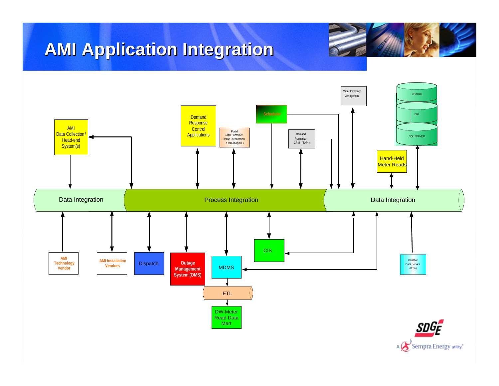## **AMI Application Integration AMI Application Integration**



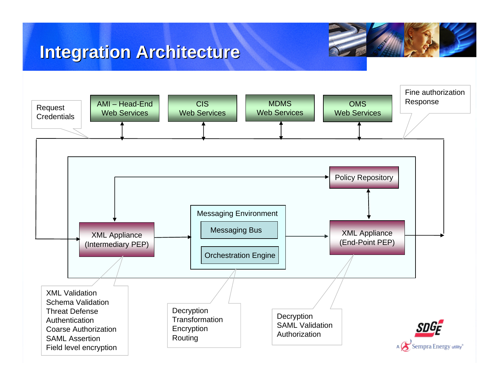### **Integration Architecture Integration Architecture**

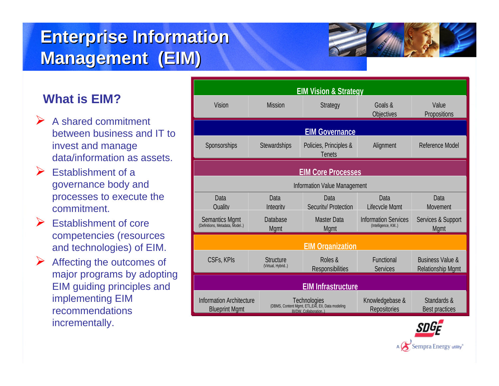## **Enterprise Information Management (EIM) Management (EIM)**

### **What is EIM?**

- $\triangleright$  A shared commitment between business and IT to invest and manage data/information as assets.
- $\triangleright$  Establishment of a governance body and processes to execute the commitment.
- $\triangleright$  Establishment of core competencies (resources and technologies) of EIM.
- ¾ Affecting the outcomes of major programs by adopting EIM guiding principles and implementing EIM recommendations incrementally.

| ?                                                                    | <b>EIM Vision &amp; Strategy</b>                         |                                                                                            |                                         |                                                   |                                                         |
|----------------------------------------------------------------------|----------------------------------------------------------|--------------------------------------------------------------------------------------------|-----------------------------------------|---------------------------------------------------|---------------------------------------------------------|
|                                                                      | Vision                                                   | <b>Mission</b>                                                                             | <b>Strategy</b>                         | Goals &<br>Objectives                             | Value<br>Propositions                                   |
| mitment<br><b>ness and IT to</b><br>inage<br>on as assets.           | <b>EIM Governance</b>                                    |                                                                                            |                                         |                                                   |                                                         |
|                                                                      | Sponsorships                                             | <b>Stewardships</b>                                                                        | Policies, Principles &<br><b>Tenets</b> | Alignment                                         | Reference Model                                         |
| t of a<br>ody and<br>execute the                                     | <b>EIM Core Processes</b>                                |                                                                                            |                                         |                                                   |                                                         |
|                                                                      | <b>Information Value Management</b>                      |                                                                                            |                                         |                                                   |                                                         |
|                                                                      | Data<br>Quality                                          | Data<br>Integrity                                                                          | Data<br>Security/ Protection            | Data<br>Lifecycle Mamt                            | Data<br>Movement                                        |
| t of core<br>(resources<br>jies) of EIM.                             | <b>Semantics Mgmt</b><br>(Definitions, Metadata, Model)  | Database<br><b>Mgmt</b>                                                                    | <b>Master Data</b><br><b>Mgmt</b>       | <b>Information Services</b><br>(Intelligence, KM) | Services & Support<br><b>Mgmt</b>                       |
|                                                                      | <b>EIM Organization</b>                                  |                                                                                            |                                         |                                                   |                                                         |
| putcomes of<br>ns by adopting<br>rinciples and<br><b>EIM</b><br>ions | CSFs, KPIs                                               | <b>Structure</b><br>(Virtual, Hybrid)                                                      | Roles &<br><b>Responsibilities</b>      | Functional<br><b>Services</b>                     | <b>Business Value &amp;</b><br><b>Relationship Mgmt</b> |
|                                                                      | <b>EIM Infrastructure</b>                                |                                                                                            |                                         |                                                   |                                                         |
|                                                                      | <b>Information Architecture</b><br><b>Blueprint Mgmt</b> | Technologies<br>(DBMS, Content Mgmt, ETL, EAI, EII, Data modeling<br>BI/DW, Collaboration) |                                         | Knowledgebase &<br>Repositories                   | Standards &<br><b>Best practices</b>                    |



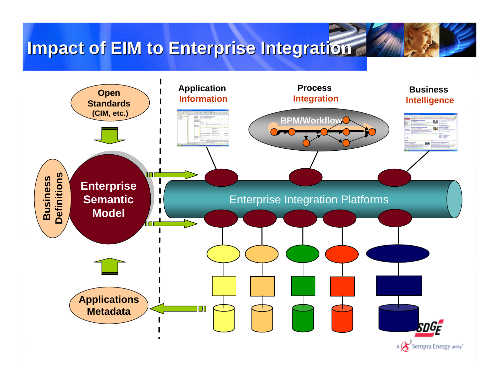### **Impact of EIM to Enterprise Integration**

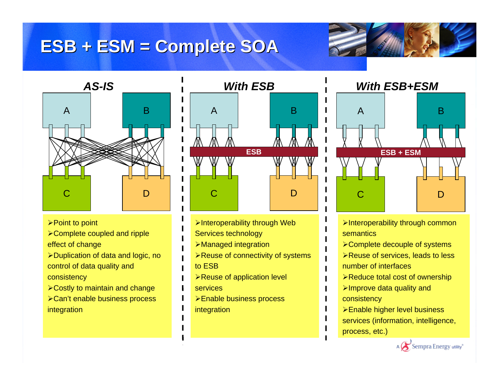### **ESB + ESM = Complete SOA ESB + ESM = Complete SOA**





- **≻Point to point**
- ¾Complete coupled and ripple effect of change
- ¾Duplication of data and logic, no control of data quality and consistency
- $\triangleright$  Costly to maintain and change ¾Can't enable business process integration



- ¾Interoperability through Web
- Services technology
- ¾Managed integration
- **≻Reuse of connectivity of systems** to ESB
- ¾Reuse of application level services
- ¾Enable business process integration



- ¾Interoperability through common semantics
- ¾Complete decouple of systems
- **≻Reuse of services, leads to less** number of interfaces
- ¾Reduce total cost of ownership
- $\blacktriangleright$ Improve data quality and consistency
- ¾Enable higher level business services (information, intelligence, process, etc.)

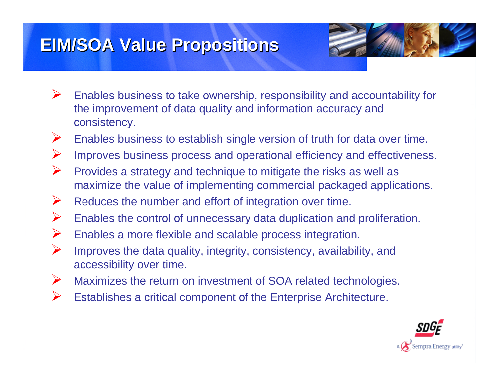### **EIM/SOA Value Propositions EIM/SOA Value Propositions**



- ¾ Enables business to take ownership, responsibility and accountability for the improvement of data quality and information accuracy and consistency.
- ¾Enables business to establish single version of truth for data over time.
- ¾Improves business process and operational efficiency and effectiveness.
- ¾ Provides a strategy and technique to mitigate the risks as well as maximize the value of implementing commercial packaged applications.
- ¾Reduces the number and effort of integration over time.
- ¾Enables the control of unnecessary data duplication and proliferation.
- ¾Enables a more flexible and scalable process integration.
- ¾ Improves the data quality, integrity, consistency, availability, and accessibility over time.
- ¾Maximizes the return on investment of SOA related technologies.
- ¾Establishes a critical component of the Enterprise Architecture.

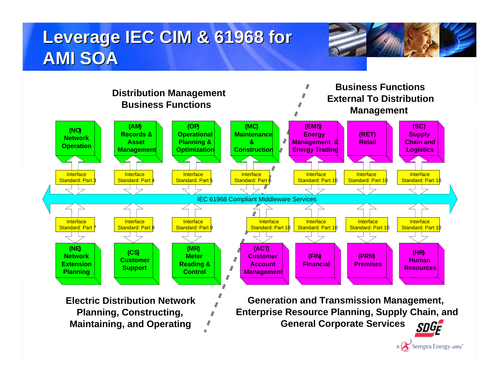## **Leverage IEC CIM & 61968 for AMI SOA AMI SOA**





Sempra Energy utility<sup>®</sup>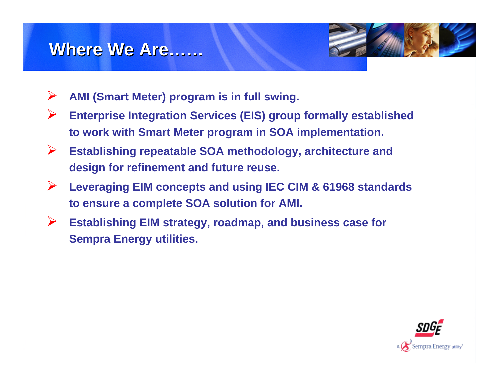### **Where We Are Where We Are……**



- ¾**AMI (Smart Meter) program is in full swing.**
- ¾ **Enterprise Integration Services (EIS) group formally established to work with Smart Meter program in SOA implementation.**
- ¾ **Establishing repeatable SOA methodology, architecture and design for refinement and future reuse.**
- ¾ **Leveraging EIM concepts and using IEC CIM & 61968 standards to ensure a complete SOA solution for AMI.**
- ¾ **Establishing EIM strategy, roadmap, and business case for Sempra Energy utilities.**